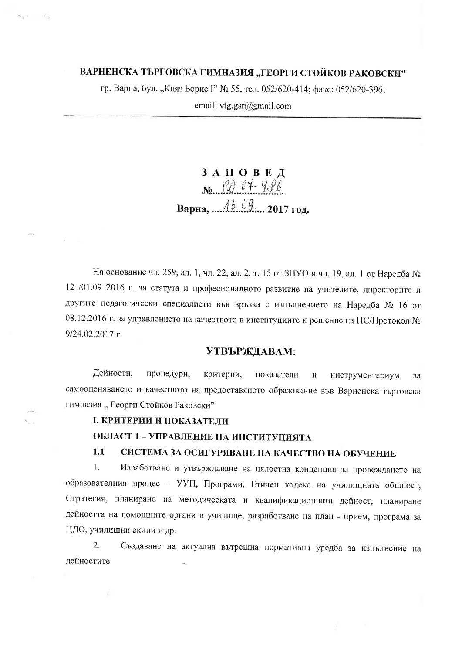### ВАРНЕНСКА ТЪРГОВСКА ГИМНАЗИЯ "ГЕОРГИ СТОЙКОВ РАКОВСКИ"

гр. Варна, бул. "Княз Борис I" № 55, тел. 052/620-414; факс: 052/620-396;

email:  $vtg.gsr@gmail.com$ 

# ЗАПОВЕД  $N_{\text{e}}$   $\rho_{\theta}$   $\theta_{\text{f}}$   $\theta_{\text{f}}$

На основание чл. 259, ал. 1, чл. 22, ал. 2, т. 15 от ЗПУО и чл. 19, ал. 1 от Наредба № 12 /01.09 2016 г. за статута и професионалното развитие на учителите, директорите и другите педагогически специалисти във връзка с изпълнението на Наредба № 16 от 08.12.2016 г. за управлението на качеството в институциите и решение на ПС/Протокол №  $9/24.02.2017$  r.

#### УТВЪРЖДАВАМ:

Дейности, процедури, критерии, показатели  $\mathbf{M}$ инструментариум  $3a$ самооценяването и качеството на предоставяното образование във Варненска търговска гимназия "Георги Стойков Раковски"

### І. КРИТЕРИИ И ПОКАЗАТЕЛИ

¢.

 $\mathbf{s}_1 \in \mathbb{R}^{\mathcal{L}_1}$ 

### ОБЛАСТ 1 - УПРАВЛЕНИЕ НА ИНСТИТУЦИЯТА

#### $1.1$ СИСТЕМА ЗА ОСИГУРЯВАНЕ НА КАЧЕСТВО НА ОБУЧЕНИЕ

 $1.$ Изработване и утвърждаване на цялостна концепция за провеждането на образователния процес - УУП, Програми, Етичен кодекс на училищната общност, Стратегия, планиране на методическата и квалификационната дейност, планиране дейността на помощните органи в училище, разработване на план - прием, програма за ЦДО, училищни екипи и др.

2. Създаване на актуална вътрешна нормативна уредба за изпълнение на дейностите.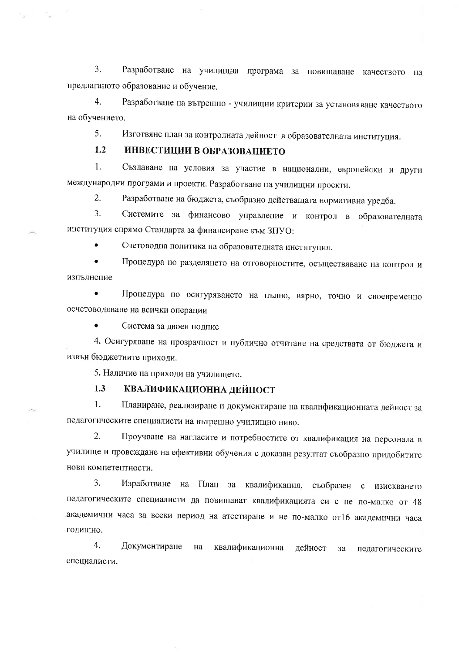$\overline{3}$ . Разработване на училищна програма за повишаване качеството на предлаганото образование и обучение.

 $\overline{4}$ . Разработване на вътрешно - училищни критерии за установяване качеството на обучението.

 $5<sub>1</sub>$ Изготвяне план за контролната дейност в образователната институция.

#### $1.2$ ИНВЕСТИЦИИ В ОБРАЗОВАНИЕТО

Създаване на условия за участие в национални, европейски и други  $1<sub>1</sub>$ международни програми и проекти. Разработване на училищни проекти.

 $2.$ Разработване на бюджета, съобразно действащата нормативна уредба.

 $\overline{3}$ . Системите за финансово управление и контрол в образователната институция спрямо Стандарта за финансиране към ЗПУО:

 $\bullet$ Счетоводна политика на образователната институция.

 $\bullet$ Процедура по разделянето на отговорностите, осъществяване на контрол и изпълнение

 $\bullet$ Процедура по осигуряването на пълно, вярно, точно и своевременно осчетоводяване на всички операции

Система за двоен подпис

4. Осигуряване на прозрачност и публично отчитане на средствата от бюджета и извън бюджетните приходи.

5. Наличие на приходи на училището.

#### $1.3$ КВАЛИФИКАЦИОННА ДЕЙНОСТ

 $1.$ Планиране, реализиране и документиране на квалификационната дейност за педагогическите специалисти на вътрешно училищно ниво.

2. Проучване на нагласите и потребностите от квалификация на персонала в училище и провеждане на ефективни обучения с доказан резултат съобразно придобитите нови компетентности.

 $\overline{3}$ . Изработване на План за квалификация, съобразен с изискването педагогическите специалисти да повишават квалификацията си с не по-малко от 48 академични часа за всеки период на атестиране и не по-малко от16 академични часа годишно.

 $4.$ Документиране на квалификационна дейност за педагогическите специалисти.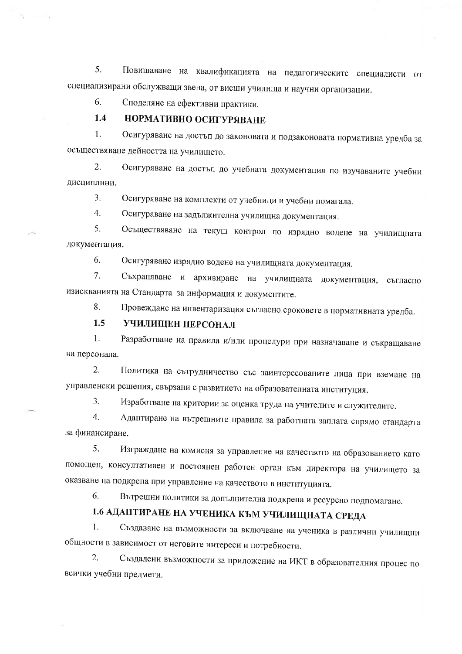5. Повишаване на квалификацията на педагогическите специалисти от специализирани обслужващи звена, от висши училища и научни организации.

6. Споделяне на ефективни практики.

#### $1.4$ НОРМАТИВНО ОСИГУРЯВАНЕ

 $1<sub>1</sub>$ Осигуряване на достъп до законовата и подзаконовата нормативна уредба за осъществяване дейността на училището.

 $2.$ Осигуряване на достъп до учебната документация по изучаваните учебни дисциплини.

 $3.$ Осигуряване на комплекти от учебници и учебни помагала.

 $\overline{4}$ . Осигураване на задължителна училищна документация.

 $5<sub>1</sub>$ Осъществяване на текущ контрол по изрядно водене на училищната документация.

6. Осигуряване изрядно водене на училищната документация.

Съхраняване и архивиране на училищната документация, съгласно  $7<sub>1</sub>$ изискванията на Стандарта за информация и документите.

Провеждане на инвентаризация съгласно сроковете в нормативната уредба. 8.

#### $1.5$ УЧИЛИЩЕН ПЕРСОНАЛ

 $1<sub>1</sub>$ Разработване на правила и/или процедури при назначаване и съкращаване на персонала.

 $2.$ Политика на сътрудничество със заинтересованите лица при вземане на управленски решения, свързани с развитието на образователната институция.

 $\overline{3}$ . Изработване на критерии за оценка труда на учителите и служителите.

Адаптиране на вътрешните правила за работната заплата спрямо стандарта  $4<sup>1</sup>$ за финансиране.

 $5<sub>1</sub>$ Изграждане на комисия за управление на качеството на образованието като помощен, консултативен и постоянен работен орган към директора на училището за оказване на подкрепа при управление на качеството в институцията.

6. Вътрешни политики за допълнителна подкрепа и ресурсно подпомагане.

## 1.6 АДАПТИРАНЕ НА УЧЕНИКА КЪМ УЧИЛИЩНАТА СРЕДА

 $1<sup>1</sup>$ Създаване на възможности за включване на ученика в различни училищни общности в зависимост от неговите интереси и потребности.

 $\overline{2}$ . Създадени възможности за приложение на ИКТ в образователния процес по всички учебни предмети.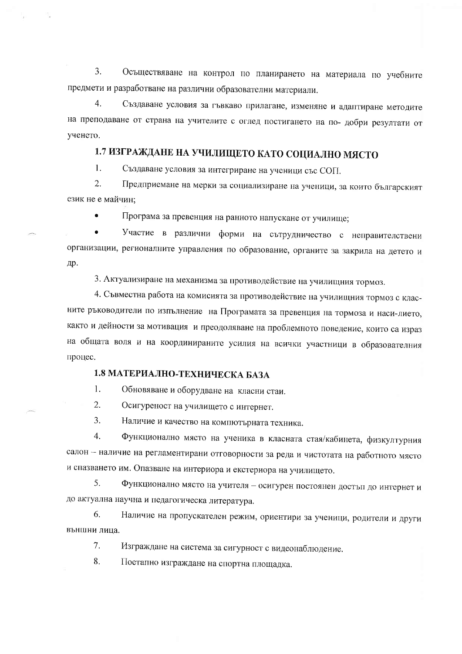$\overline{3}$ . Осъществяване на контрол по планирането на материала по учебните предмети и разработване на различни образователни материали.

 $\overline{4}$ . Създаване условия за гъвкаво прилагане, изменяне и адаптиране методите на преподаване от страна на учителите с оглед постигането на по- добри резултати от ученето.

## 1.7 ИЗГРАЖДАНЕ НА УЧИЛИЩЕТО КАТО СОЦИАЛНО МЯСТО

 $\mathbf{1}$ . Създаване условия за интегриране на ученици със СОП.

 $\overline{2}$ . Предприемане на мерки за социализиране на ученици, за които българският език не е майчин:

Програма за превенция на ранното напускане от училище;

Участие в различни форми на сътрудничество с неправителствени организации, регионалните управления по образование, органите за закрила на детето и др.

3. Актуализиране на механизма за противодействие на училищния тормоз.

4. Съвместна работа на комисията за противодействие на училищния тормоз с класните ръководители по изпълнение на Програмата за превенция на тормоза и наси-лието, както и дейности за мотивация и преодоляване на проблемното поведение, които са израз на общата воля и на координираните усилия на всички участници в образователния процес.

### 1.8 МАТЕРИАЛНО-ТЕХНИЧЕСКА БАЗА

 $1.$ Обновяване и оборудване на класни стаи.

 $\overline{2}$ . Осигуреност на училището с интернет.

3. Наличие и качество на компютърната техника.

 $\overline{4}$ . Функционално място на ученика в класната стая/кабинета, физкултурния салон - наличие на регламентирани отговорности за реда и чистотата на работното място и спазването им. Опазване на интериора и екстериора на училището.

Функционално място на учителя - осигурен постоянен достъп до интернет и 5. до актуална научна и педагогическа литература.

Наличие на пропускателен режим, ориентири за ученици, родители и други 6. външни лица.

 $7.$ Изграждане на система за сигурност с видеонаблюдение.

8. Поетапно изграждане на спортна площадка.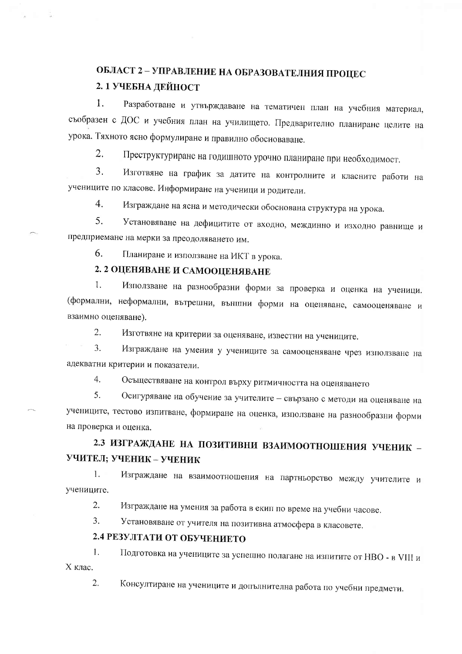## ОБЛАСТ 2 - УПРАВЛЕНИЕ НА ОБРАЗОВАТЕЛНИЯ ПРОЦЕС 2. 1 УЧЕБНА ДЕЙНОСТ

Разработване и утвърждаване на тематичен план на учебния материал,  $\mathbf{1}$ . съобразен с ДОС и учебния план на училището. Предварително планиране целите на урока. Тяхното ясно формулиране и правилно обосноваване.

 $2.$ Преструктуриране на годишното урочно планиране при необходимост.

 $\overline{3}$ . Изготвяне на график за датите на контролните и класните работи на учениците по класове. Информиране на ученици и родители.

 $4.$ Изграждане на ясна и методически обоснована структура на урока.

 $5<sub>1</sub>$ Установяване на дефицитите от входно, междинно и изходно равнище и предприемане на мерки за преодоляването им.

6. Планиране и използване на ИКТ в урока.

## 2. 2 ОЦЕНЯВАНЕ И САМООЦЕНЯВАНЕ

1. Използване на разнообразни форми за проверка и оценка на ученици. (формални, неформални, вътрешни, външни форми на оценяване, самооценяване и взаимно оценяване).

Изготвяне на критерии за оценяване, известни на учениците.  $2.$ 

 $\overline{3}$ . Изграждане на умения у учениците за самооценяване чрез използване на адекватни критерии и показатели.

 $\overline{4}$ . Осъществяване на контрол върху ритмичността на оценяването

Осигуряване на обучение за учителите - свързано с методи на оценяване на 5. учениците, тестово изпитване, формиране на оценка, използване на разнообразни форми на проверка и оценка.

2.3 ИЗГРАЖДАНЕ НА ПОЗИТИВНИ ВЗАИМООТНОШЕНИЯ УЧЕНИК -УЧИТЕЛ; УЧЕНИК - УЧЕНИК

 $\mathbf{1}$ Изграждане на взаимоотношения на партньорство между учителите и учениците.

Изграждане на умения за работа в екип по време на учебни часове. 2.

Установяване от учителя на позитивна атмосфера в класовете.  $3.$ 

## 2.4 РЕЗУЛТАТИ ОТ ОБУЧЕНИЕТО

Подготовка на учениците за успешно полагане на изпитите от НВО - в VIII и  $\mathbf{1}$ . Х клас.

Консултиране на учениците и допълнителна работа по учебни предмети.  $\overline{2}$ .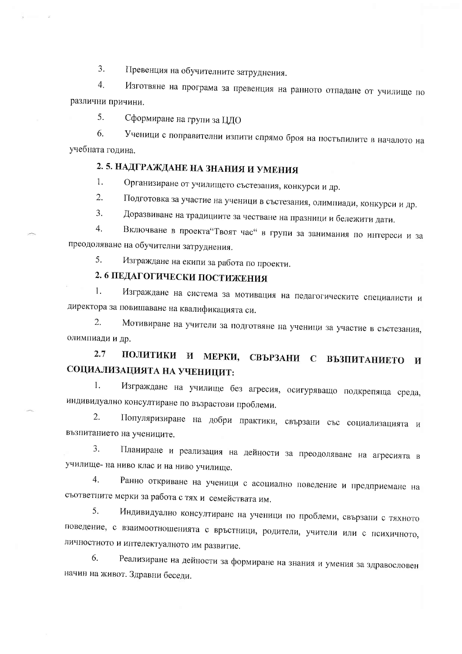Превенция на обучителните затруднения.  $\overline{3}$ .

 $\overline{4}$ Изготвяне на програма за превенция на ранното отпадане от училище по различни причини.

5. Сформиране на групи за ЦДО

 $6<sub>1</sub>$ Ученици с поправителни изпити спрямо броя на постъпилите в началото на учебната година.

## 2.5. НАДГРАЖДАНЕ НА ЗНАНИЯ И УМЕНИЯ

Организиране от училището състезания, конкурси и др.  $1.$ 

 $2^{1}$ Подготовка за участие на ученици в състезания, олимпиади, конкурси и др.

 $\overline{3}$ . Доразвиване на традициите за честване на празници и бележити дати.

Включване в проекта"Твоят час" в групи за занимания по интереси и за  $\overline{4}$ . преодоляване на обучителни затруднения.

5. Изграждане на екипи за работа по проекти.

## 2. 6 ПЕДАГОГИЧЕСКИ ПОСТИЖЕНИЯ

Изграждане на система за мотивация на педагогическите специалисти и  $\mathbf{1}$ . директора за повишаване на квалификацията си.

Мотивиране на учители за подготвяне на ученици за участие в състезания, 2. олимпиади и др.

### ПОЛИТИКИ И МЕРКИ, СВЪРЗАНИ С ВЪЗПИТАНИЕТО И  $2.7$ СОЦИАЛИЗАЦИЯТА НА УЧЕНИЦИТ:

Ť. Изграждане на училище без агресия, осигуряващо подкрепяща среда, индивидуално консултиране по възрастови проблеми.

Популяризиране на добри практики, свързани със социализацията и  $\overline{2}$ . възпитанието на учениците.

Планиране и реализация на дейности за преодоляване на агресията в  $3.$ училище- на ниво клас и на ниво училище.

 $4.$ Ранно откриване на ученици с асоциално поведение и предприемане на съответните мерки за работа с тях и семействата им.

5. Индивидуално консултиране на ученици по проблеми, свързани с тяхното поведение, с взаимоотношенията с връстници, родители, учители или с психичното, личностното и интелектуалното им развитие.

6. Реализиране на дейности за формиране на знания и умения за здравословен начин на живот. Здравни беседи.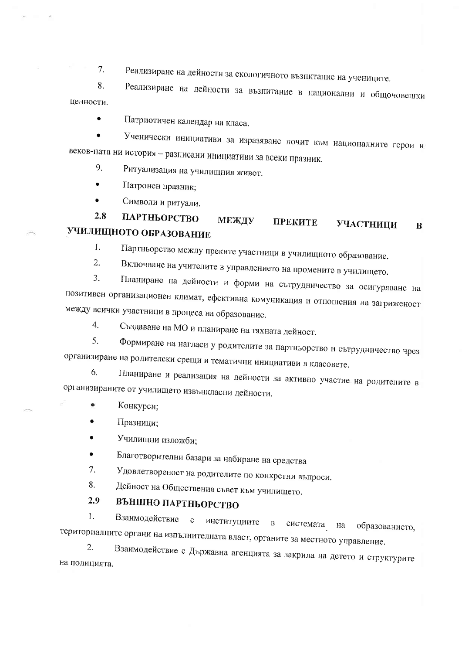$7.$ Реализиране на дейности за екологичното възпитание на учениците.

 $\mathbf{R}$ . Реализиране на дейности за възпитание в национални и общочовешки ценности.

Патриотичен календар на класа.  $\blacktriangle$ 

Ученически инициативи за изразяване почит към националните герои и веков-ната ни история - разписани инициативи за всеки празник.

Ритуализация на училищния живот. 9

Патронен празник;

 $\sim$ 

 $\bullet$ Символи и ритуали.

#### $2.8$ ПАРТНЬОРСТВО МЕЖДУ **ПРЕКИТЕ** УЧАСТНИЦИ  $\bf{B}$ УЧИЛИЩНОТО ОБРАЗОВАНИЕ

Ť. Партньорство между преките участници в училищното образование.

 $\overline{2}$ . Включване на учителите в управлението на промените в училището.  $\overline{3}$ .

Планиране на дейности и форми на сътрудничество за осигуряване на позитивен организационен климат, ефективна комуникация и отношения на загриженост между всички участници в процеса на образование.

Създаване на МО и планиране на тяхната дейност.  $\overline{4}$ .

5. Формиране на нагласи у родителите за партньорство и сътрудничество чрез организиране на родителски срещи и тематични инициативи в класовете.

Планиране и реализация на дейности за активно участие на родителите в 6. организираните от училището извънкласни дейности.

- Конкурси;
- Празници;
- Училищни изложби;

Благотворителни базари за набиране на средства

Удовлетвореност на родителите по конкретни въпроси.  $7.$ 

Дейност на Обществения съвет към училището. 8.

#### 2.9 ВЪНШНО ПАРТНЬОРСТВО

Взаимодействие с институциите 1.  $\, {\bf B}$ системата на образованието, териториалните органи на изпълнителната власт, органите за местното управление.

 $\overline{2}$ . Взаимодействие с Държавна агенцията за закрила на детето и структурите на полицията.